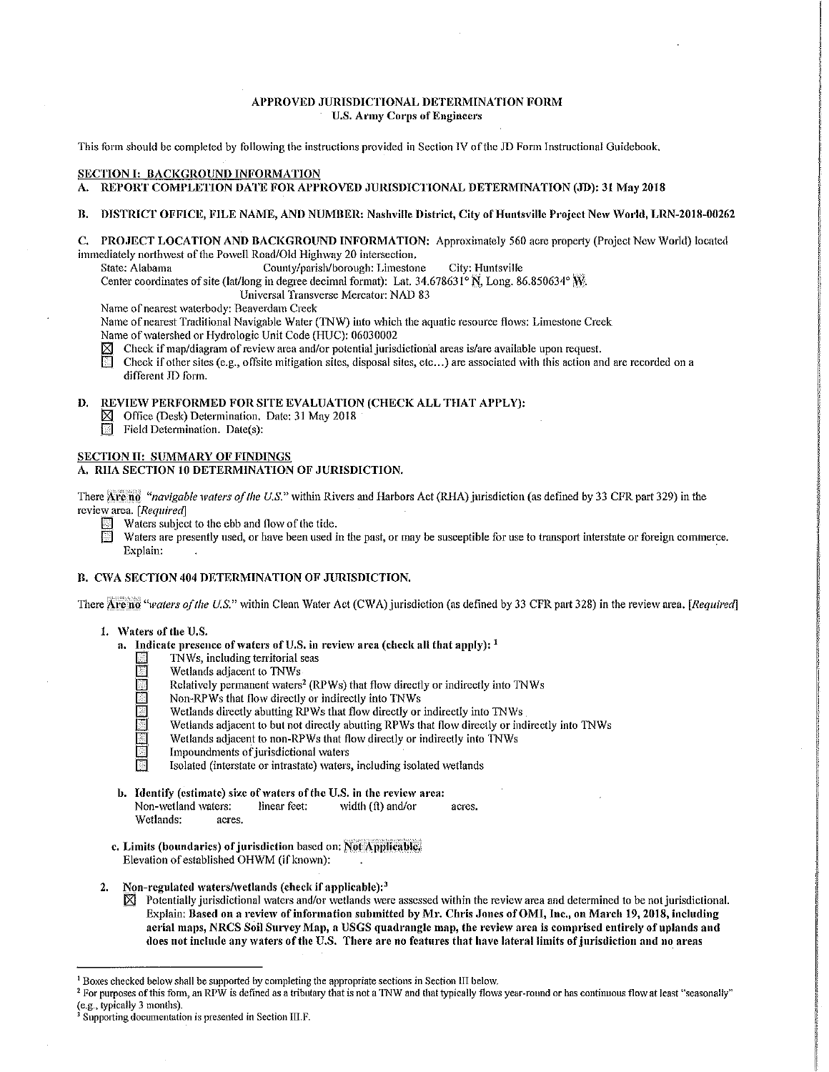## APPROVED JURISDICTIONAL DETERMINATION FORM U.S. Army Corps of Engineers

This form should be completed by following the instructions provided in Section IV of the JD Form Instructional Guidebook.

## SECTION I: BACKGROUND INFORMATION

A. REPORT COMPLETION DATE FOR APPROVED JURISDICTIONAL DETERMINATION (JD): 31 May 2018

#### B. DISTRICT OFFICE, FILE NAME, AND NUMBER: Nashville District, City of Huntsville Project New World, LRN-2018-00262

| C. PROJECT LOCATION AND BACKGROUND INFORMATION: Approximately 560 acre property (Project New World) located |  |
|-------------------------------------------------------------------------------------------------------------|--|
| immediately northwest of the Powell Road/Old Highway 20 intersection.                                       |  |

State: Alabama County/parish/borough: Limestone City: Huntsville

Center coordinates of site (lat/long in degree decimal format): Lat.  $34.678631^{\circ}$  N, Long. 86.850634° W.

Universal Transverse Mercator: NAD 83

Name of nearest waterbody: Beaverdam Creek

Name of nearest Traditional Navigable Water (TNW) into which the aquatic resource flows: Limestone Creek

Name of watershed or Hydrologic Unit Code (HUC): 06030002<br> $\boxtimes$  Check if map/diagram of review area and/or potential jurisc

 $\boxtimes$  Check if map/diagram of review area and/or potential jurisdictional areas is/are available upon request.<br> $\boxdot$  Check if other sites (e.g., offsite mitigation sites, disposal sites, etc., ) are associated with this a

Check if other sites (e.g., offsite mitigation sites, disposal sites, etc...) are associated with this action and are recorded on a different JD form.

# D. REVIEW PERFORMED FOR SITE EVALUATION (CHECK ALL THAT APPLY):

 $\boxtimes$  Office (Desk) Determination. Date: 31 May 2018

Field Determination. Date(s):

## SECTION II: SUMMARY OF FINDINGS

## A. RHA SECTION 10 DETERMINATION OF JURISDICTION.

There Arcend "navigable waters of the U.S." within Rivers and Harbors Act (RHA) jurisdiction (as defined by 33 CFR part 329) in the review \_area. [ *RequiredJ* 

- $\Box$  Waters subject to the ebb and flow of the tide.
	- Waters are presently used, or have been used in the past, or may be susceptible for use to transport interstate or foreign commerce.<br>Explain: Explain: The contract of the contract of the contract of the contract of the contract of the contract of the contract of the contract of the contract of the contract of the contract of the contract of the contract of the c

## B. CWA SECTION 404 DETERMINATION OF JURISDICTION.

There Are no "veaters of the U.S." within Clean Water Act (CWA) jurisdiction (as defined by 33 CFR part 328) in the review area. *[Required]* 

#### 1. \Vaters of the U.S.

- a. Indicate presence of waters of U.S. in review area (check all that apply):  $<sup>1</sup>$ </sup>
	- 121 1NWs, including territorial seas
	- Wetlands adjacent to TNWs
	- Relatively permanent waters<sup>2</sup> (RPWs) that flow directly or indirectly into TNWs
	- Non-RPWs that flow directly or indirectly into TNWs
	- Wetlands directly abutting RPWs that flow directly or indirectly into TNWs
	- Wetlands adjacent to but not directly abutting RPWs that flow directly or indirectly into TNWs
	- Wetlands adjacent to non-RPWs that flow directly or indirectly into TNWs
	- Impoundments of jurisdictional waters
	- Isolated (interstate or intrastate) waters, including isolated wetlands
- b. Identify (estimate) size of waters of the U.S. in the review area:<br>Non-wetland waters: linear feet: width  $(f)$  and/or Non-wetland waters: linear feet:  $\dot{\mathbf{w}}$  width (ft) and/or acres. Wetlands: acres.
- c. Limits (boundaries) of jurisdiction based on: Not Applicable, Elevation of established OHWM (if known):
- Non-regulated waters/wetlands (check if applicable):<sup>3</sup>
	- $\boxtimes$  Potentially jurisdictional waters and/or wetlands were assessed within the review area and determined to be not jurisdictional. Explain: Based on a review of information submitted by Mr. Chris Jones of OMI, Inc., on March 19, 2018, including aerial maps, NRCS Soil Survey Map, a USGS quadrangle map, the review area is comprised entirely of uplands and does not include any waters of the U.S. There arc no features that have lateral limits of jurisdiction and no areas

<sup>&</sup>lt;sup>1</sup> Boxes checked below shall be supported by completing the appropriate sections in Section III below.<br><sup>2</sup> For purposes of this form, an RPW is defined as a tributary that is not a TNW and that typically flows year-round

 $\frac{3}{3}$  Supporting documentation is presented in Section III.F.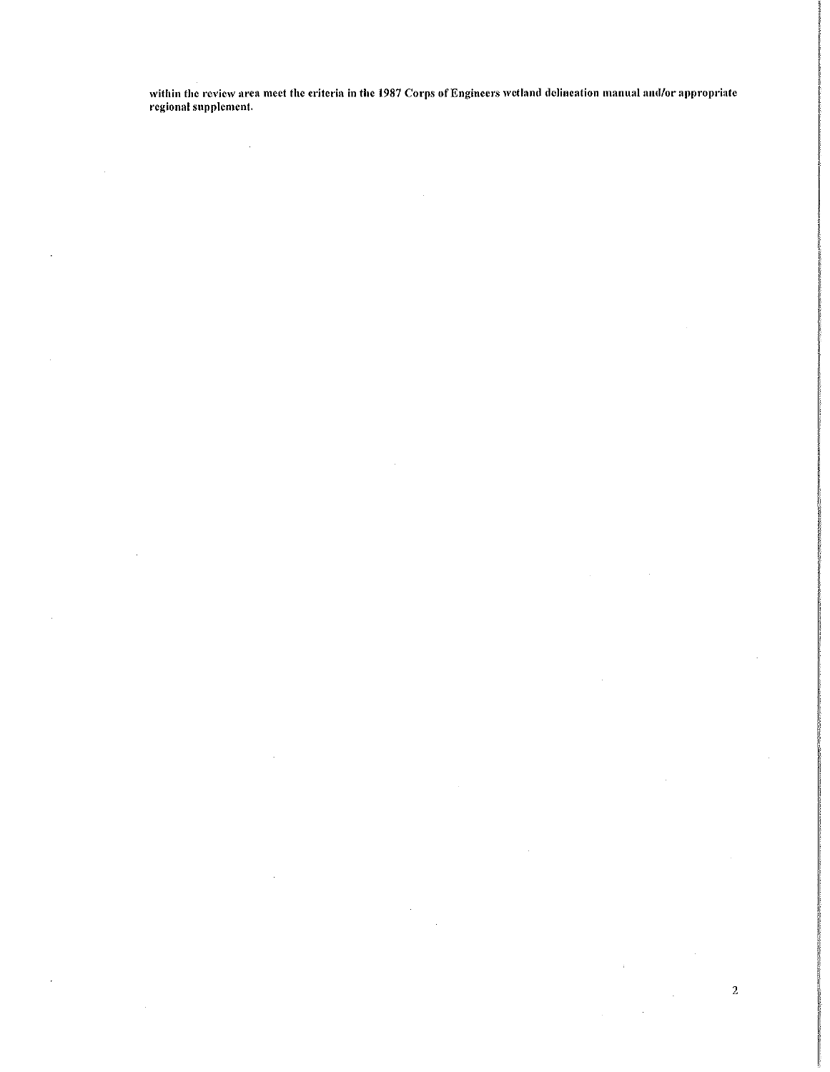within the review area meet the criteria in the 1987 Corps of Engineers wetland delineation manual and/or appropriate<br>regional supplement.

 $\overline{a}$ 

 $\sim$ 

 $\mathcal{A}_\mathrm{c}$ 

 $\mathbf{r}$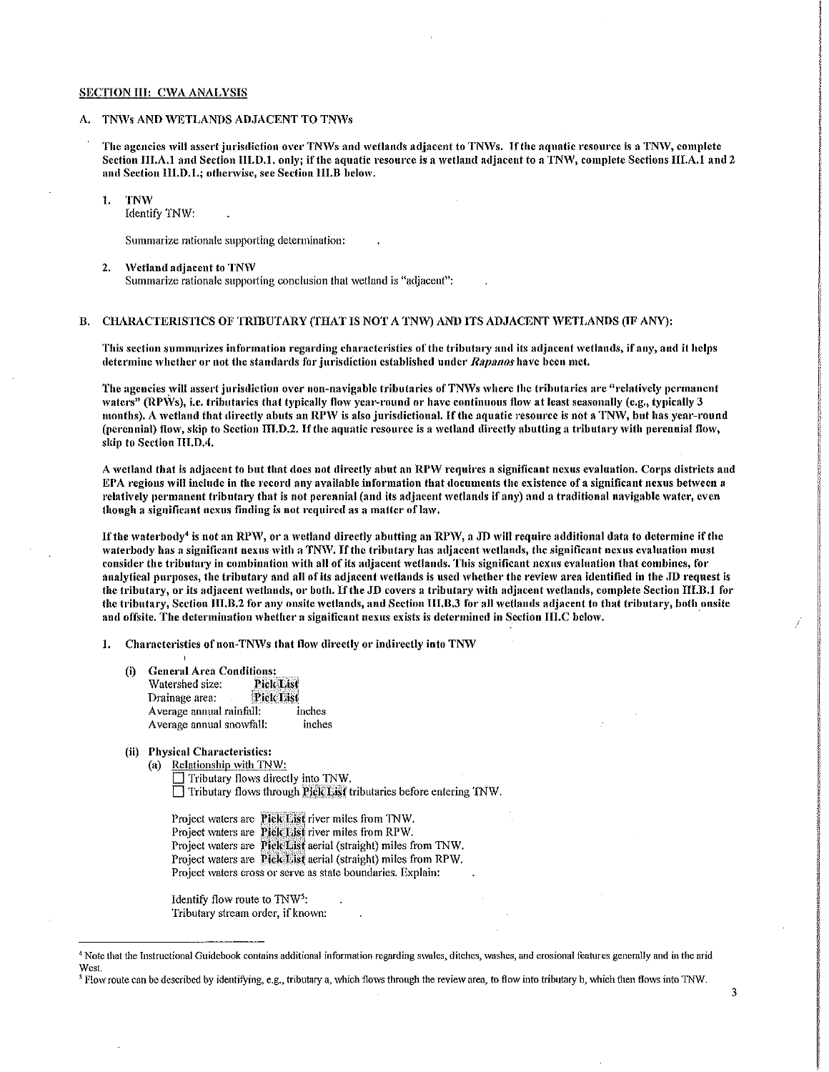#### SECTION III: CWA ANALYSIS

## A. TNWs AND WETLANDS ADJACENT TO TNWs

The agencies will assert jurisdiction over TNWs and wetlands adjacent to TNWs. If the aquatic resource is a TNW, complete Section III.A.1 and Section III.D.1. only; if the aquatic resource is a wetland adjacent to a TNW, complete Sections III.A.1 and 2 and Section HI.D.1.; otherwise, see Section HI.B below.

#### I. TNW

Identify TNW:

Summarize rationale supporting determination:

2. Wetland adjacent to TNW Summarize rationale supporting conclusion that wetland is "adjacent":

## B. CHARACTERISTICS OF TRIBUTARY (THAT IS NOT A TNW) AND ITS ADJACENT WETLANDS (IF ANY):

This section summarizes information regarding characteristics of the tributary and its adjacent wetlands, if any, and it helps determine whether or not the standards for jurisdiction established under *Rapanos* have been met.

The agencies will assert jurisdiction over non-navigable tributaries of TNWs where the tributaries are "relatively permanent waters" (RPWs), i.e. tributaries that typically flow year-round or have continuous flow at least seasonally (e.g., typically 3 months). A wetland that directly abuts an RPW is also jurisdictional. If the aquatic resource is not a TNW, but has year-round (perennial) flow, skip to Section III.D.2. If the aquatic resource is a wetland directly abutting a tributary with perennial flow, skip to Section 111.D.4.

A wetland that is adjacent to but that does not directly abut an RPW requires a significant nexus evaluation. Corps districts and EPA regions will include in the record any available information that documents the existence of a significant nexus between a relatively permanent tributary that is not perennial (and its adjacent wetlands if any) and a traditional navigable water, even though a significant nexus finding is not required as a matter of law,

If the waterbody<sup>4</sup> is not an RPW, or a wetland directly abutting an RPW, a JD will require additional data to determine if the waterbody has a significant nexus with a TNW. If the tributary has adjacent wetlands, the significant nexus evaluation must consider the tributary in combination with all of its adjacent wetlands. This significant nexus evaluation that combines, for analytical purposes, the tributary and all of its adjacent wetlands is used whether the review area identified in the JD request is the tributary, or its adjacent wetlands, or both. If the JD covers a tributary with adjacent wetlands, complete Section III.B.1 for the tributary, Section III.B.2 for any onsite wetlands, and Section III.B.3 for all wetlands adjacent to that tributary, both onsite and offsite, The determination whether a significant nexus exists is determined in Section III.C below.

1. Characteristics of non-TNWs that flow directly or indirectly into TNW

- (i)
	- General Area Conditions:<br>Watershed size: Pick List Watershed size: 
	<br>
	Drainage area: 
	PickList Drainage area: Average annual rainfall: inches Average annual snowfall: inches
- (ii) Physical Characteristics:
	- (a) Relationship with TNW:

Tributary flows directly into TNW.  $\Box$  Tributary flows through Pick List tributaries before entering INW.

Project waters are Pick List river miles from TNW. Project waters are Pick List river miles from RPW. Project waters are Pick List aerial (straight) miles from TNW. Project waters are Pick: List aerial (straight) miles from RPW. Project waters cross or serve as state boundaries. Explain:

Identify flow route to TNW5: Tributary stream order, if known:

<sup>&</sup>lt;sup>4</sup> Note that the Instructional Guidebook contains additional information regarding swales, ditches, washes, and erosional features generally and in the arid **West** 

<sup>&</sup>lt;sup>5</sup> Flow route can be described by identifying, e.g., tributary a, which flows through the review area, to flow into tributary b, which then flows into TNW.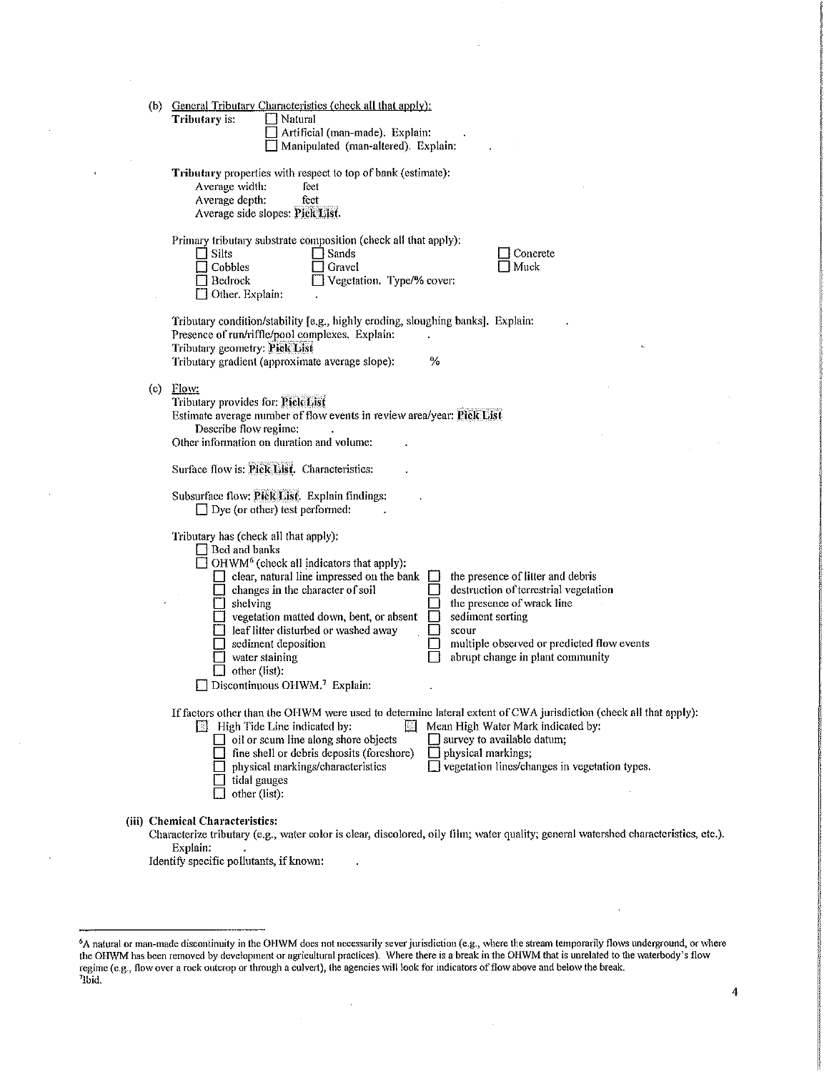|  | (b) General Tributary Characteristics (check all that apply):<br>Tributary is:<br>Natural<br>Artificial (man-made), Explain:<br>Manipulated (man-altered). Explain:                                                                                                                                                                                                                                                                                                                                                                                                                                                                                          |
|--|--------------------------------------------------------------------------------------------------------------------------------------------------------------------------------------------------------------------------------------------------------------------------------------------------------------------------------------------------------------------------------------------------------------------------------------------------------------------------------------------------------------------------------------------------------------------------------------------------------------------------------------------------------------|
|  | Tributary properties with respect to top of bank (estimate):<br>Average width:<br>feet<br>Average depth:<br>feet<br>Average side slopes: Pick List.                                                                                                                                                                                                                                                                                                                                                                                                                                                                                                          |
|  | Primary tributary substrate composition (check all that apply):<br>Silts<br>□ Sands<br>Concrete<br>Muck<br>Cobbles<br>Gravel<br>Vegetation. Type/% cover:<br>Bedrock<br>Other. Explain:                                                                                                                                                                                                                                                                                                                                                                                                                                                                      |
|  | Tributary condition/stability [e.g., highly eroding, sloughing banks]. Explain:<br>Presence of run/riffle/pool complexes. Explain:<br>Tributary geometry: Pick List<br>$\%$<br>Tributary gradient (approximate average slope):                                                                                                                                                                                                                                                                                                                                                                                                                               |
|  | (c) $Flow:$<br>Tributary provides for: Pick List<br>Estimate average number of flow events in review area/year: Pick List<br>Describe flow regime:<br>Other information on duration and volume:                                                                                                                                                                                                                                                                                                                                                                                                                                                              |
|  | Surface flow is: Pick List. Characteristics:                                                                                                                                                                                                                                                                                                                                                                                                                                                                                                                                                                                                                 |
|  | Subsurface flow: Pick List. Explain findings:<br>$\Box$ Dye (or other) test performed:                                                                                                                                                                                                                                                                                                                                                                                                                                                                                                                                                                       |
|  | Tributary has (check all that apply):<br>Bed and banks<br>OHWM <sup>6</sup> (check all indicators that apply):<br>clear, natural line impressed on the bank<br>the presence of litter and debris<br>destruction of terrestrial vegetation<br>changes in the character of soil<br>$\Box$ shelving<br>the presence of wrack line<br>vegetation matted down, bent, or absent<br>sediment sorting<br>$\Box$ leaf litter disturbed or washed away<br>scour<br>multiple observed or predicted flow events<br>$\Box$ sediment deposition<br>abrupt change in plant community<br>water staining<br>$\Box$ other (list):<br>Discontinuous OHWM. <sup>7</sup> Explain: |
|  | If factors other than the OHWM were used to determine lateral extent of CWA jurisdiction (check all that apply):<br><b>Ell</b> High Tide Line indicated by:<br>长江<br>Mean High Water Mark indicated by:<br>$\Box$ oil or scum line along shore objects<br>survey to available datum;<br>fine shell or debris deposits (foreshore)<br>physical markings;<br>□ vegetation lines/changes in vegetation types.<br>physical markings/characteristics<br>tidal gauges<br>other (list):                                                                                                                                                                             |
|  | (iii) Chemical Characteristics:<br>Characterize tributary (e.g., water color is clear, discolored, oily film; water quality; general watershed characteristics, etc.).<br>Explain:<br>Identify specific pollutants, if known:                                                                                                                                                                                                                                                                                                                                                                                                                                |

 $\overline{1}$ 

 $\overline{\mathbf{4}}$ 

<sup>&</sup>lt;sup>6</sup>A natural or man-made discontinuity in the OHWM does not necessarily sever jurisdiction (e.g., where the stream temporarily flows underground, or where the OHWM has been removed by development or agricultural practices)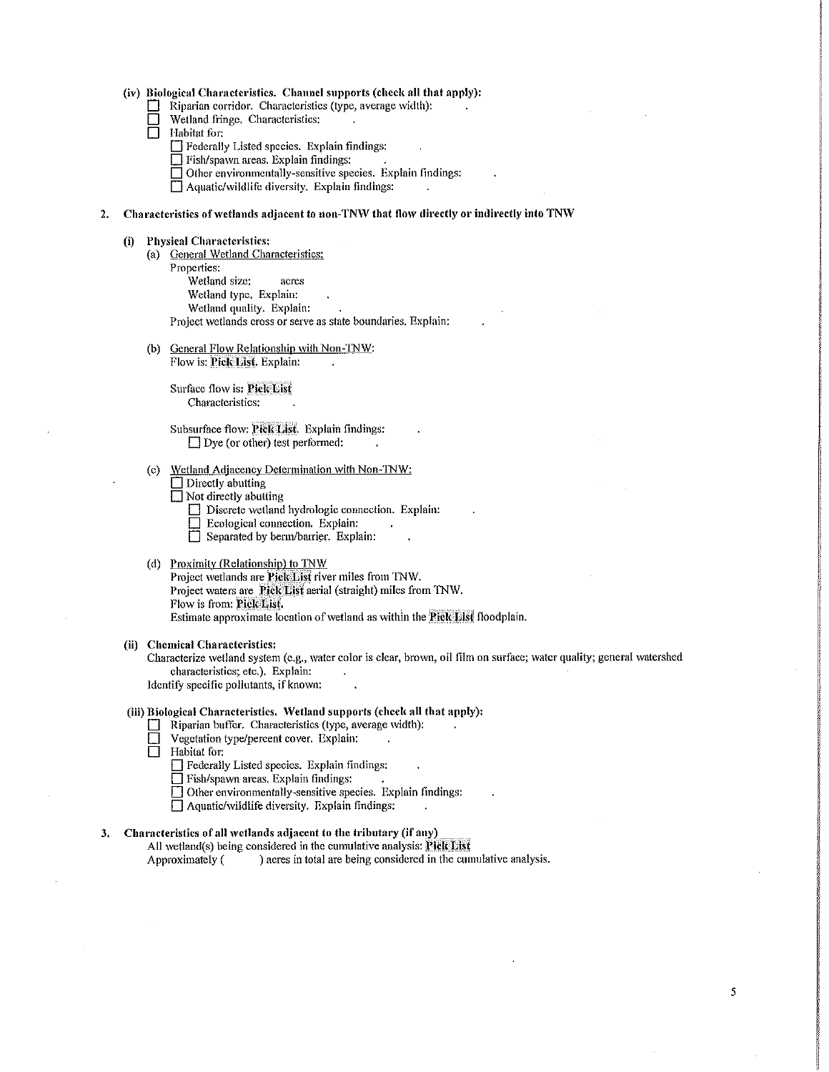## (iv) Biological Characteristics. Channel supports (check all that apply):

- $\Box$  Riparian corridor. Characteristics (type, average width):
- Wetland fringe. Characteristics:
- $\Box$  I-labitat for:
	- D Federally Listed species, Explain findings:
	- $\Box$  Fish/spawn areas. Explain findings:
	- $\Box$  Other environmentally-sensitive species. Explain findings:

 $\Box$  Aquatic/wildlife diversity. Explain findings:

## 2. Characteristics of wetlands adjacent to non-TNW that flow directly or indirectly into TNW

#### (i) Physical Characteristics:

- (a) General Wetland Characteristics:
- Properties:
	- Wetland size: acres
	- Wetland type. Explain:
	- Wetland quality. Explain:

Project wetlands cross or serve as state boundaries. Explain:

(b) General Flow Relationship with Non-TNW:

Flow is: Pick List. Explain:

Surface flow is: Pick List Characteristics:

Subsurface flow: Pick List. Explain findings:  $\Box$  Dye (or other) test performed:

- (c) Wetland Adjacency Determination with Non-TNW:
	- $\Box$  Directly abutting
	- $\Box$  Not directly abutting
		- $\Box$  Discrete wetland hydrologic connection. Explain:
		- D Ecological connection. Explain:
		- $\Box$  Separated by berm/barrier. Explain:

## (d) Proximity (Relationship) to TNW

Project wetlands are Pick List river miles from TNW. Project waters are Pick List aerial (straight) miles from TNW. Flow is from: Pick List. Estimate approximate location of wetland as within the Piele List floodplain.

#### (ii) Chemical Characteristics:

Characterize wetland system (e.g., water color is clear, brown, oil film on surface; water quality; general watershed characteristics; etc.). Explain:

Identify specific pollutants, if known:

#### (iii) Biological Characteristics, Wetland supports (check all that apply):

- □ Riparian buffer. Characteristics (type, average width):<br>□ Vegetation type/percent cover. Explain:<br>□ Habitat for:
- Vegetation type/percent cover. Explain:
- Habitat for:
	- Detaily Listed species. Explain findings:
	- $\Box$  Fish/spawn areas. Explain findings:
	- D Other environmentally-sensitive species. Explain findings:
	- $\Box$  Aquatic/wildlife diversity. Explain findings:

#### 3. Characteristics of all wetlands adjacent to the tributary (if any)

All wetland(s) being considered in the cumulative analysis: Pick List

Approximately  $($ ) acres in total are being considered in the cumulative analysis.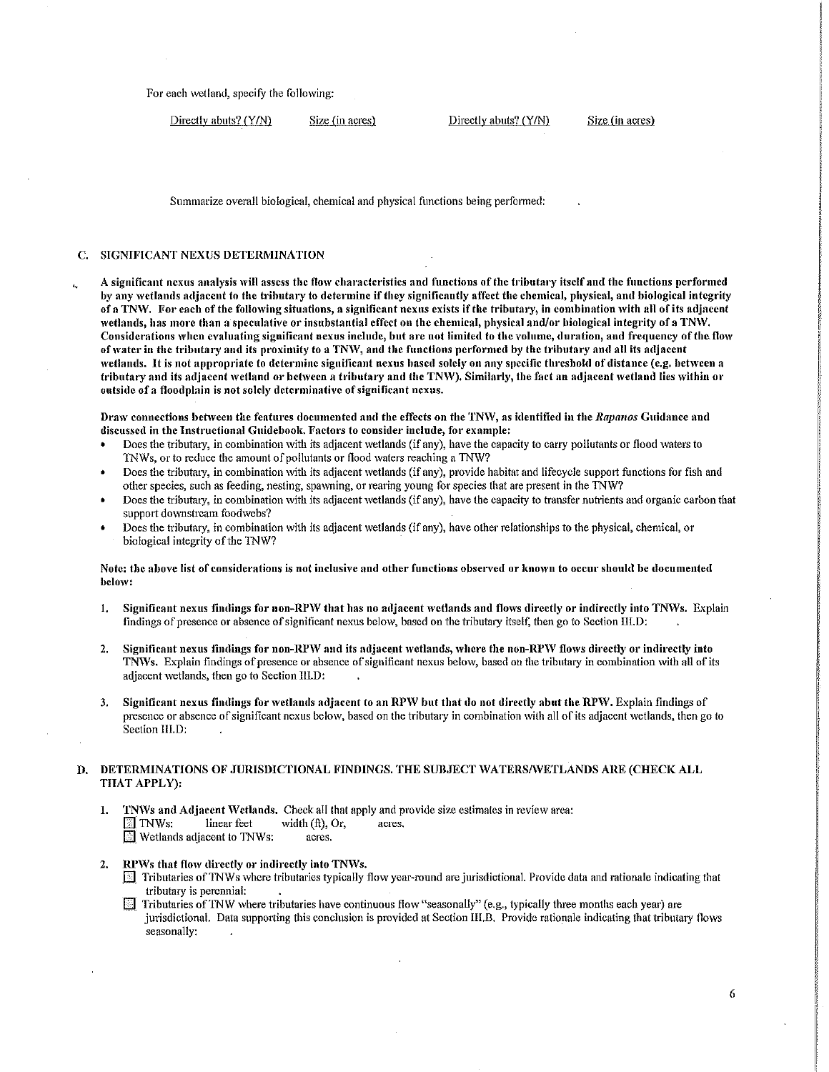For each wetland, specify the following:

Directly abuts? (Y/N) Size (in acres) Directly abuts? (Y/N) Size (in acres)

Summarize overall biological, chemical and physical functions being performed:

# c. SIGNIFICANT NEXUS DETERMINATION

A significant nexus analysis will assess the flow characteristics and functions of the tributary itself and the functions performed by any wetlands adjacent to the tributary to determine if they significantly affect the chemical, physical, and biological integrity of a TNW. For each of the following situations, a significant nexus exists if the tributary, in combination with all of its adjacent wetlands, has more than a speculative or insubstantial effect on the chemical, physical and/or biological integrity of a TNW. Considerations when evaluating significant nexus include, but are not limited to the volume, duration, and frequency of the flow of water in the tributary and its proximity to a TNW, and the functions performed by the tributary and all its adjacent wetlands. It is not appropriate to determine significant nexus based solely on any specific threshold of distance (e.g. between a tributary and its adjacent wetland or between a tributary and the TNW). Similarly, the fact an adjacent wetland lies within or outside of a floodplain is not solely determinative of significant nexus.

Draw connections between the features documented and the effects on the TNW, as identified in the *Rapanos* Guidance and discussed in the Instructional Guidebook. Factors to consider include, for example:

- Does the tributary, in combination with its adjacent wetlands (if any), have the capacity to carry pollutants or flood waters to 'INWs, or to reduce the amount of pollutants or flood 'vaters reaching a TNW?
- Does the tributary, in combination with its adjacent wetlands (if any), provide habitat and lifecycle support functions for fish and other species, such as feeding, nesting, spawning, or rearing young for species that are present in the TNW?
- Does the tributary, in combination with its adjacent wetlands (if any), have the capacity to transfer nutrients and organic carbon that support downstream foodwebs?
- Does the tributary, in combination with its adjacent wetlands (if any), have other relationships to the physical, chemical, or biological integrity of the TNW?

#### Note: the above list of considerations is not inclusive and other functions observed or known to occur should be documented below:

- 1. Significant nexus findings for non-RPW that has no adjacent wetlands and flows directly or indirectly into TNWs. Explain findings of presence or absence of significant nexus below, based on the tributary itself, then go to Section III.D:
- 2. Significant nexus findings for non-RPW and its adjacent wetlands, where the non-RPW flows directly or indirectly into TNWs. Explain findings of presence or absence of significant nexus below, based on the tributary in combination with all of its adjacent wetlands, then go to Section III, D:
- 3. Significant nexus findings for wetlands adjacent to an RPW but that do not directly abut the RPW. Explain findings of presence or absence of significant nexus below, based on the tributary in combination with all of its adjacent wetlands, then go to Section 111.D:

## DETERMINATIONS OF JURISDICTIONAL FINDINGS. THE SUBJECT WATERS/WETLANDS ARE (CHECK ALL THAT APPLY):

- 1. TNWs and Adjacent Wetlands. Check all that apply and provide size estimates in review area:  $\overline{\mathbb{S}}$  TNWs: linear feet width (ft), Or, acres. Wetlands adjacent to TNWs: acres.
- 2. RPWs that flow directly or indirectly into TNWs.
	- $\Box$  Tributaries of TNWs where tributaries typically flow year-round are jurisdictional. Provide data and rationale indicating that tributary is perennial:
	- **[1]** Tributaries of TNW where tributaries have continuous flow "seasonally" (e.g., typically three months each year) are jurisdictional. Data supporting this conclusion is provided at Section III.B. Provide rationale indicating that tributary flows seasonally: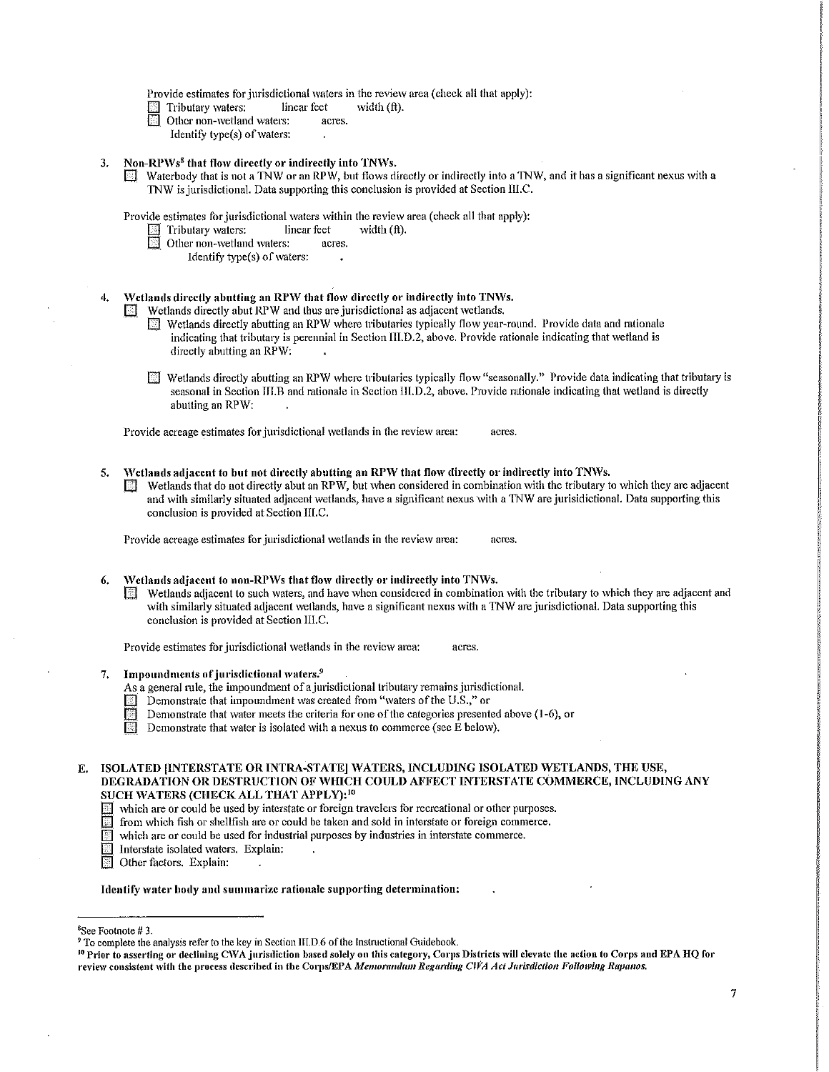Provide estimates for jurisdictional waters in the review area (check all that apply):

- Tributary waters: linear feet width (ft).<br>In Other non-wetland waters: acres.
- Other non-wetland waters:
- Identify type(s) of waters:
- 3. Non-RPWs<sup>8</sup> that flow directly or indirectly into TNWs.
	- $\mathbb{F}$  Waterbody that is not a TNW or an RPW, but flows directly or indirectly into a TNW, and it has a significant nexus with a TNW is jurisdictional. Data supporting this conclusion is provided at Section III.C.

Provide estimates for jurisdictional waters within the review area (check all that apply):<br>  $\Box$  Tributary waters: linear feet width (ft).

- Tributary waters:
- Other non-wetland waters: acres.
	- Identify type $(s)$  of waters:
- 4. Wetlands directly abutting an RPW that flow directly or indirectly into TNWs.

Wetlands directly abut RPW and thus are jurisdictional as adjacent wetlands.

- $\mathbb{F}$  Wetlands directly abutting an RPW where tributaries typically flow year-round. Provide data and rationale indicating that tributary is perennial in Section III.D.2, above. Provide rationale indicating that wetland is directly abutting an RPW:
- $\mathbb{F}$  Wetlands directly abutting an RPW where tributaries typically flow "seasonally." Provide data indicating that tributary is seasonal in Section III.B and rationale in Section III.D.2, above. Provide rationale indicating that wetland is directly abutting an RPW:

Provide acreage estimates for jurisdictional wetlands in the review area: acres.

5. Wetlands adjacent to but not directly abutting an RPW that flow directly or indirectly into TNWs.  $\Box$  Wetlands that do not directly abut an RPW, but when considered in combination with the tributary to which they are adjacent and with similarly situated adjacent wetlands, have a significant nexus with a TNW are jurisidictional. Data supporting this conclusion is provided at Section IIl.C.

Provide acreage estimates for jurisdictional wetlands in the review area: acres.

- Wetlands adjacent to non-RPWs that flow directly or indirectly into TNWs.
	- $\Box$  Wetlands adjacent to such waters, and have when considered in combination with the tributary to which they are adjacent and with similarly situated adjacent wetlands, have a significant nexus with a TNW are jurisdictional. Data supporting this conclusion is provided at Section III.C.

Provide estimates for jurisdictional wetlands in the review area: acres.

- 7. Impoundments of jurisdictional waters.<sup>9</sup>
	- As a general rule, the impoundment of a jurisdictional tributary remains jurisdictional.
	- Demonstrate that impoundment was created from "waters of the U.S.," or
	- Demonstrate that water meets the criteria for one of the categories presented above (1-6), or Demonstrate that water is isolated with a nexus to commerce (see E below).
	- Demonstrate that water is isolated with a nexus to commerce (see E below).
- E. ISOLATED (INTERSTATE OR INTRA-STATE] WATERS, INCLUDING ISOLATED WETLANDS, THE USE, DEGRADATION OR DESTRUCTION OF WHICH COULD AFFECT INTERSTATE COMMERCE, INCLUDING ANY SUCH WATERS (CHECK ALL THAT APPLY):<sup>10</sup>
	- which are or could be used by interstate or foreign travelers for recreational or other purposes.<br> $\Box$  from which fish or shellfish are or could be taken and sold in interstate or foreign commerce.
		- from which fish or shellfish are or could be taken and sold in interstate or foreign commerce.
	- which are or could be used for industrial purposes by industries in interstate commerce.

 $\boxed{\odot}$  Interstate isolated waters. Explain:

Other factors. Explain:

Identify water body and summarize rationale supporting determination:

<sup>&</sup>lt;sup>8</sup>See Footnote #3.

<sup>&</sup>lt;sup>9</sup> To complete the analysis refer to the key in Section IILD.6 of the Instructional Guidebook.<br><sup>10</sup> Prior to asserting or declining CWA jurisdiction based solely on this category, Corps Districts will clevate the action t review consistent with the process described in the Corps/EPA *Memorandum Regarding CWA Act Jurisdiction Following Rapanos.*